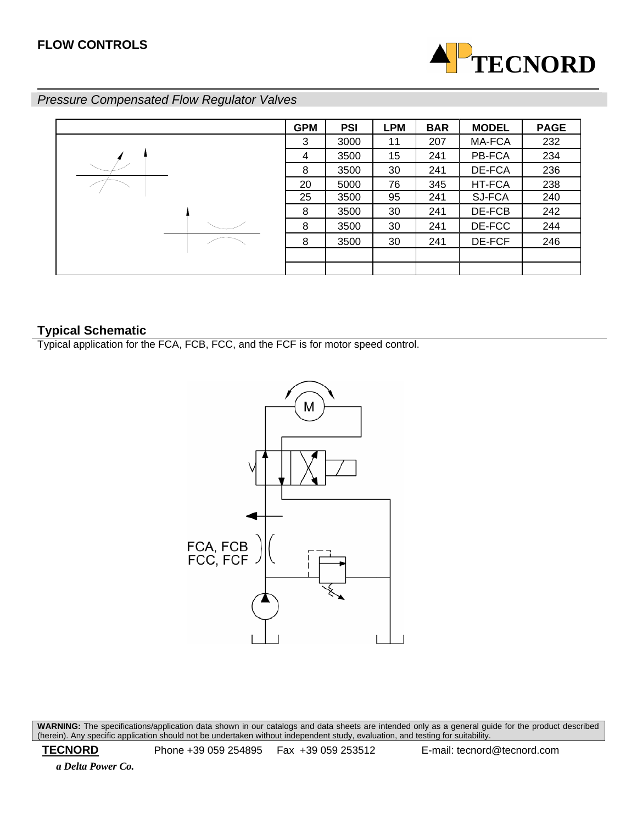

# *Pressure Compensated Flow Regulator Valves*



# **Typical Schematic**

Typical application for the FCA, FCB, FCC, and the FCF is for motor speed control.



**WARNING:** The specifications/application data shown in our catalogs and data sheets are intended only as a general guide for the product described (herein). Any specific application should not be undertaken without independent study, evaluation, and testing for suitability.

 **TECNORD** Phone +39 059 254895 Fax +39 059 253512 E-mail: tecnord@tecnord.com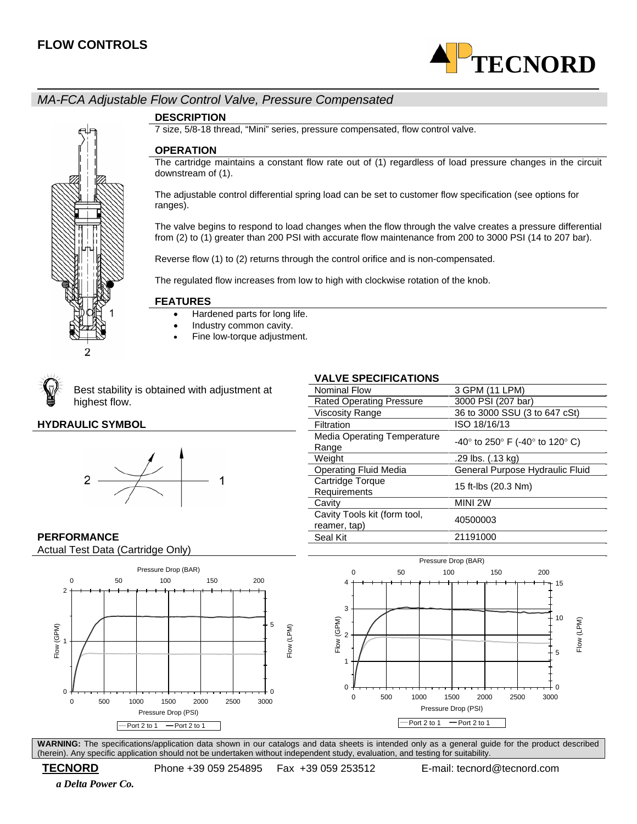

# *MA-FCA Adjustable Flow Control Valve, Pressure Compensated*



#### **DESCRIPTION**

7 size, 5/8-18 thread, "Mini" series, pressure compensated, flow control valve.

#### **OPERATION**

The cartridge maintains a constant flow rate out of (1) regardless of load pressure changes in the circuit downstream of (1).

The adjustable control differential spring load can be set to customer flow specification (see options for ranges).

The valve begins to respond to load changes when the flow through the valve creates a pressure differential from (2) to (1) greater than 200 PSI with accurate flow maintenance from 200 to 3000 PSI (14 to 207 bar).

Reverse flow (1) to (2) returns through the control orifice and is non-compensated.

The regulated flow increases from low to high with clockwise rotation of the knob.

#### **FEATURES**

- Hardened parts for long life.
- Industry common cavity.
- Fine low-torque adjustment.



Best stability is obtained with adjustment at highest flow.

#### **HYDRAULIC SYMBOL**



## **VALVE SPECIFICATIONS**

| <b>Nominal Flow</b>                          | 3 GPM (11 LPM)                           |
|----------------------------------------------|------------------------------------------|
| <b>Rated Operating Pressure</b>              | 3000 PSI (207 bar)                       |
| <b>Viscosity Range</b>                       | 36 to 3000 SSU (3 to 647 cSt)            |
| Filtration                                   | ISO 18/16/13                             |
| <b>Media Operating Temperature</b><br>Range  | $-40^{\circ}$ to 250° F (-40° to 120° C) |
| Weight                                       | .29 lbs. (.13 kg)                        |
| <b>Operating Fluid Media</b>                 | General Purpose Hydraulic Fluid          |
| Cartridge Torque<br>Requirements             | 15 ft-lbs (20.3 Nm)                      |
| Cavity                                       | MINI 2W                                  |
| Cavity Tools kit (form tool,<br>reamer, tap) | 40500003                                 |
| Seal Kit                                     | 21191000                                 |

#### **PERFORMANCE** Actual Test Data (Cartridge Only)





**WARNING:** The specifications/application data shown in our catalogs and data sheets is intended only as a general guide for the product described (herein). Any specific application should not be undertaken without independent study, evaluation, and testing for suitability.

# **TECNORD** Phone +39 059 254895 Fax +39 059 253512 E-mail: tecnord@tecnord.com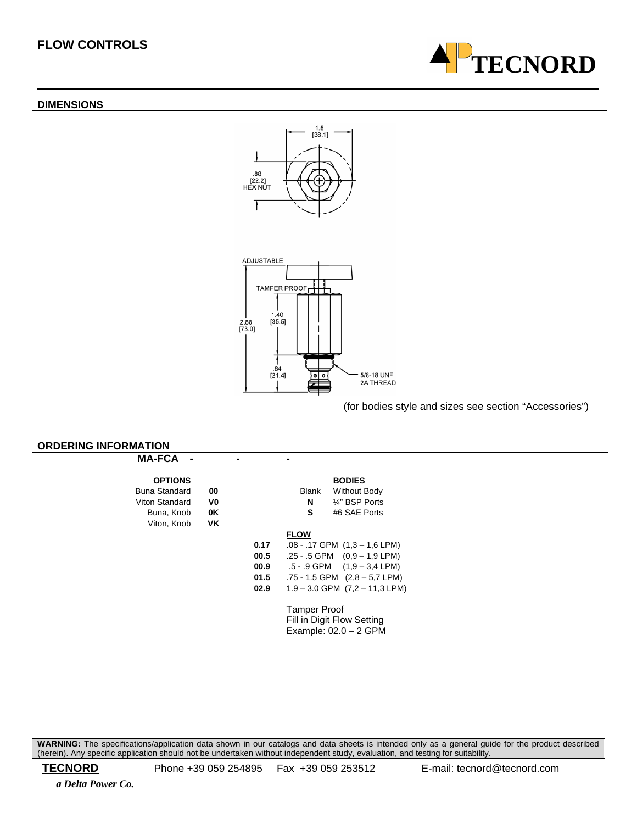#### **DIMENSIONS**





#### (for bodies style and sizes see section "Accessories")



**WARNING:** The specifications/application data shown in our catalogs and data sheets is intended only as a general guide for the product described (herein). Any specific application should not be undertaken without independent study, evaluation, and testing for suitability.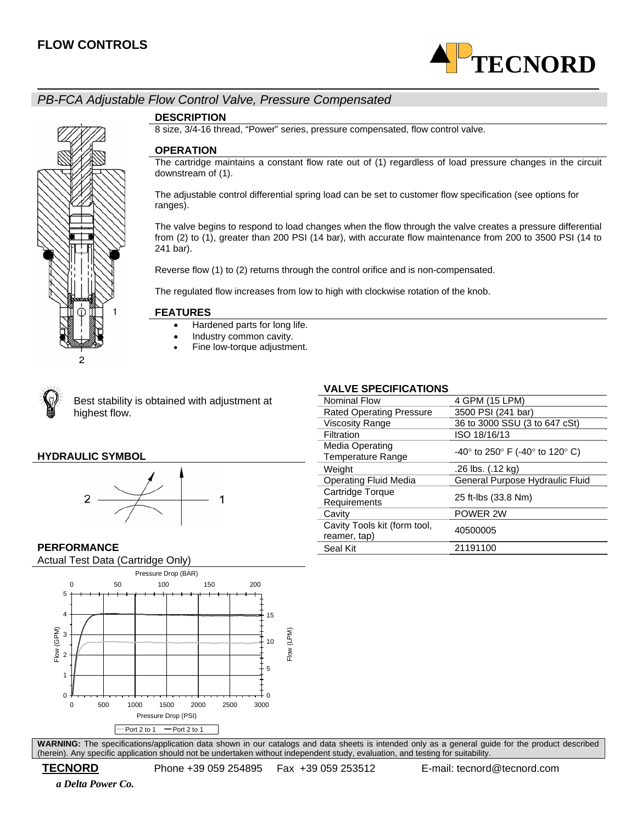

# *PB-FCA Adjustable Flow Control Valve, Pressure Compensated*



#### **DESCRIPTION**

8 size, 3/4-16 thread, "Power" series, pressure compensated, flow control valve.

#### **OPERATION**

The cartridge maintains a constant flow rate out of (1) regardless of load pressure changes in the circuit downstream of (1).

The adjustable control differential spring load can be set to customer flow specification (see options for ranges).

The valve begins to respond to load changes when the flow through the valve creates a pressure differential from (2) to (1), greater than 200 PSI (14 bar), with accurate flow maintenance from 200 to 3500 PSI (14 to 241 bar).

Reverse flow (1) to (2) returns through the control orifice and is non-compensated.

The regulated flow increases from low to high with clockwise rotation of the knob.

#### **FEATURES**

- Hardened parts for long life.
- Industry common cavity.
- Fine low-torque adjustment.



Best stability is obtained with adjustment at highest flow.

#### **HYDRAULIC SYMBOL**



#### **VALVE SPECIFICATIONS**

| Nominal Flow                                       | 4 GPM (15 LPM)                  |
|----------------------------------------------------|---------------------------------|
| <b>Rated Operating Pressure</b>                    | 3500 PSI (241 bar)              |
| <b>Viscosity Range</b>                             | 36 to 3000 SSU (3 to 647 cSt)   |
| Filtration                                         | ISO 18/16/13                    |
| <b>Media Operating</b><br><b>Temperature Range</b> | -40° to 250° F (-40° to 120° C) |
| Weight                                             | .26 lbs. (.12 kg)               |
| <b>Operating Fluid Media</b>                       | General Purpose Hydraulic Fluid |
| Cartridge Torque<br>Requirements                   | 25 ft-lbs (33.8 Nm)             |
| Cavity                                             | POWER 2W                        |
| Cavity Tools kit (form tool,<br>reamer, tap)       | 40500005                        |
| Seal Kit                                           | 21191100                        |
|                                                    |                                 |

# **PERFORMANCE**

Actual Test Data (Cartridge Only)



**WARNING:** The specifications/application data shown in our catalogs and data sheets is intended only as a general guide for the product described (herein). Any specific application should not be undertaken without independent study, evaluation, and testing for suitability.

 *a Delta Power Co.*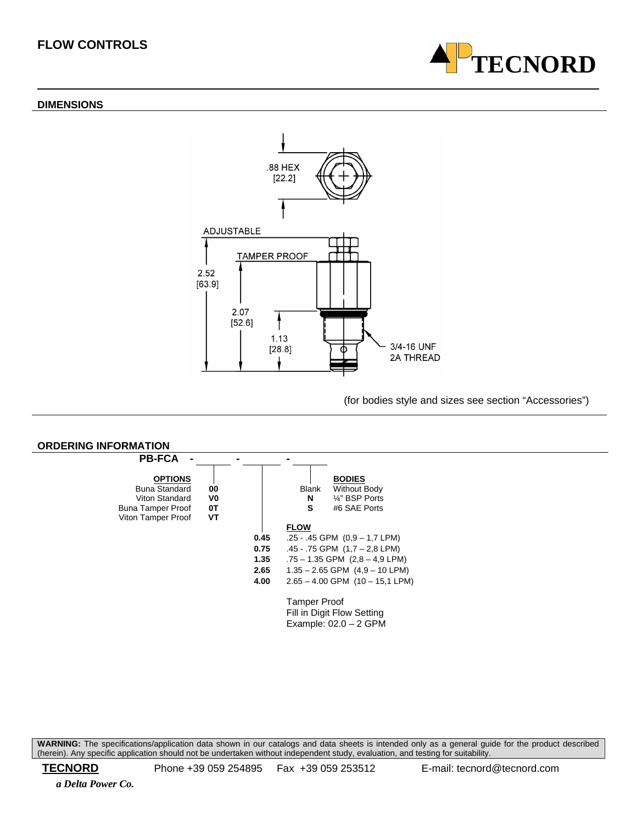#### **DIMENSIONS**



(for bodies style and sizes see section "Accessories")

**TECNORD**



**WARNING:** The specifications/application data shown in our catalogs and data sheets is intended only as a general guide for the product described (herein). Any specific application should not be undertaken without independent study, evaluation, and testing for suitability.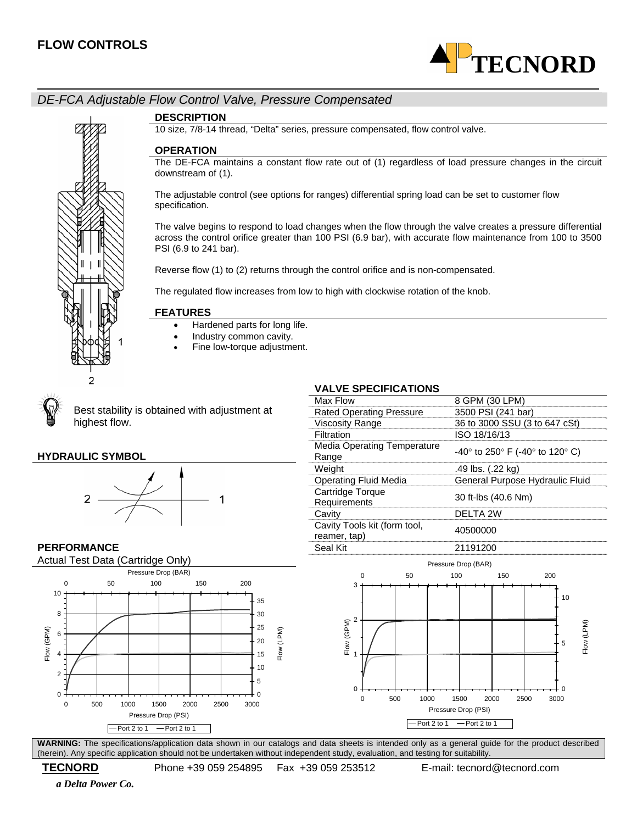

# *DE-FCA Adjustable Flow Control Valve, Pressure Compensated*



#### **DESCRIPTION**

10 size, 7/8-14 thread, "Delta" series, pressure compensated, flow control valve.

#### **OPERATION**

The DE-FCA maintains a constant flow rate out of (1) regardless of load pressure changes in the circuit downstream of (1).

The adjustable control (see options for ranges) differential spring load can be set to customer flow specification.

The valve begins to respond to load changes when the flow through the valve creates a pressure differential across the control orifice greater than 100 PSI (6.9 bar), with accurate flow maintenance from 100 to 3500 PSI (6.9 to 241 bar).

Reverse flow (1) to (2) returns through the control orifice and is non-compensated.

The regulated flow increases from low to high with clockwise rotation of the knob.

#### **FEATURES**

- Hardened parts for long life.
- Industry common cavity.
- Fine low-torque adjustment.



#### **HYDRAULIC SYMBOL**



#### **VALVE SPECIFICATIONS**

| ¥<br>Best stability is obtained with adjustment at<br>highest flow. |                                              |                                          |
|---------------------------------------------------------------------|----------------------------------------------|------------------------------------------|
|                                                                     | Max Flow                                     | 8 GPM (30 LPM)                           |
|                                                                     | <b>Rated Operating Pressure</b>              | 3500 PSI (241 bar)                       |
|                                                                     | Viscosity Range                              | 36 to 3000 SSU (3 to 647 cSt)            |
|                                                                     | Filtration                                   | ISO 18/16/13                             |
| <b>HYDRAULIC SYMBOL</b>                                             | <b>Media Operating Temperature</b><br>Range  | $-40^{\circ}$ to 250° F (-40° to 120° C) |
|                                                                     | Weight                                       | .49 lbs. (.22 kg)                        |
|                                                                     | <b>Operating Fluid Media</b>                 | General Purpose Hydraulic Fluid          |
|                                                                     | Cartridge Torque<br>Requirements             | 30 ft-lbs (40.6 Nm)                      |
|                                                                     | Cavity                                       | DELTA 2W                                 |
|                                                                     | Cavity Tools kit (form tool,<br>reamer, tap) | 40500000                                 |
| <b>PERFORMANCE</b>                                                  | Seal Kit                                     | 21191200                                 |





**WARNING:** The specifications/application data shown in our catalogs and data sheets is intended only as a general guide for the product described (herein). Any specific application should not be undertaken without independent study, evaluation, and testing for suitability.

 **TECNORD** Phone +39 059 254895 Fax +39 059 253512 E-mail: tecnord@tecnord.com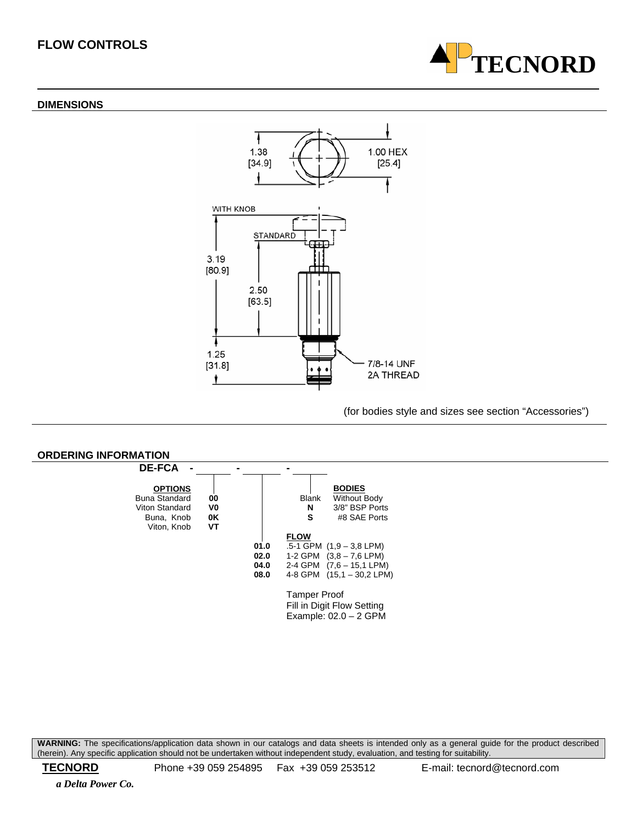#### **DIMENSIONS**





(for bodies style and sizes see section "Accessories")



**WARNING:** The specifications/application data shown in our catalogs and data sheets is intended only as a general guide for the product described (herein). Any specific application should not be undertaken without independent study, evaluation, and testing for suitability.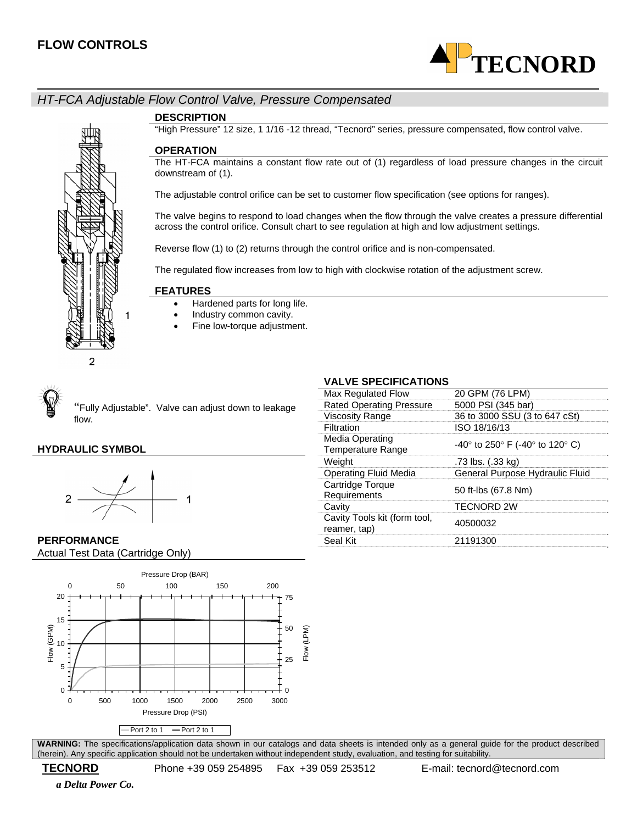

# *HT-FCA Adjustable Flow Control Valve, Pressure Compensated*

**DESCRIPTION** 

"High Pressure" 12 size, 1 1/16 -12 thread, "Tecnord" series, pressure compensated, flow control valve.

#### **OPERATION**

The HT-FCA maintains a constant flow rate out of (1) regardless of load pressure changes in the circuit downstream of (1).

The adjustable control orifice can be set to customer flow specification (see options for ranges).

The valve begins to respond to load changes when the flow through the valve creates a pressure differential across the control orifice. Consult chart to see regulation at high and low adjustment settings.

Reverse flow (1) to (2) returns through the control orifice and is non-compensated.

The regulated flow increases from low to high with clockwise rotation of the adjustment screw.

#### **FEATURES**

- Hardened parts for long life.
- Industry common cavity.
- Fine low-torque adjustment.



<sup>"</sup>Fully Adjustable". Valve can adjust down to leakage flow.

## **HYDRAULIC SYMBOL**



#### **PERFORMANCE** Actual Test Data (Cartridge Only)



**WARNING:** The specifications/application data shown in our catalogs and data sheets is intended only as a general guide for the product described (herein). Any specific application should not be undertaken without independent study, evaluation, and testing for suitability.

## *a Delta Power Co.*

#### **VALVE SPECIFICATIONS**

| 91 LY11 1981 1911 9                          |                                          |
|----------------------------------------------|------------------------------------------|
| Max Regulated Flow                           | 20 GPM (76 LPM)                          |
| <b>Rated Operating Pressure</b>              | 5000 PSI (345 bar)                       |
| <b>Viscosity Range</b>                       | 36 to 3000 SSU (3 to 647 cSt)            |
| Filtration                                   | ISO 18/16/13                             |
| Media Operating<br><b>Temperature Range</b>  | $-40^{\circ}$ to 250° F (-40° to 120° C) |
| Weight                                       | .73 lbs. (.33 kg)                        |
| Operating Fluid Media                        | General Purpose Hydraulic Fluid          |
| Cartridge Torque<br>Requirements             | 50 ft-lbs (67.8 Nm)                      |
| Cavity                                       | <b>TECNORD 2W</b>                        |
| Cavity Tools kit (form tool,<br>reamer, tap) | 40500032                                 |
| Seal Kit                                     | 21191300                                 |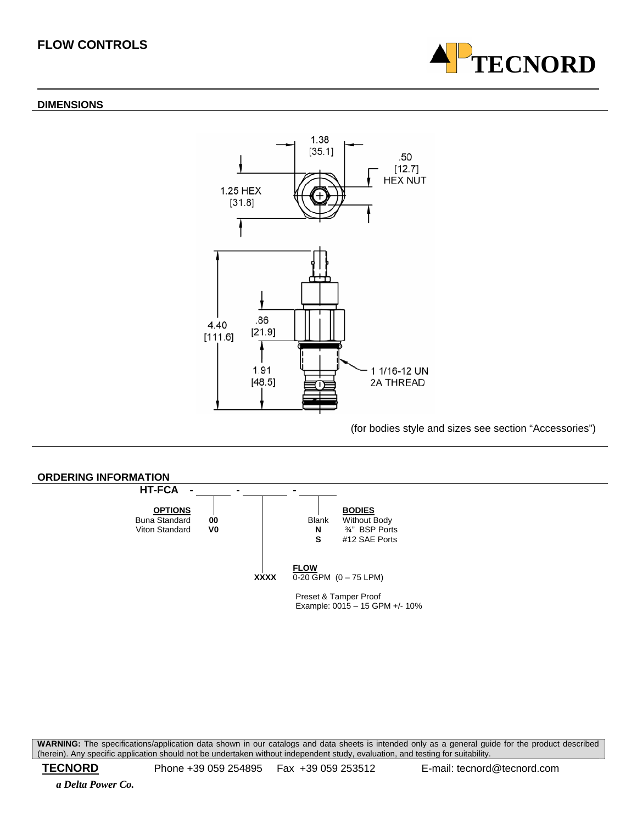#### **DIMENSIONS**



(for bodies style and sizes see section "Accessories")



**WARNING:** The specifications/application data shown in our catalogs and data sheets is intended only as a general guide for the product described (herein). Any specific application should not be undertaken without independent study, evaluation, and testing for suitability.

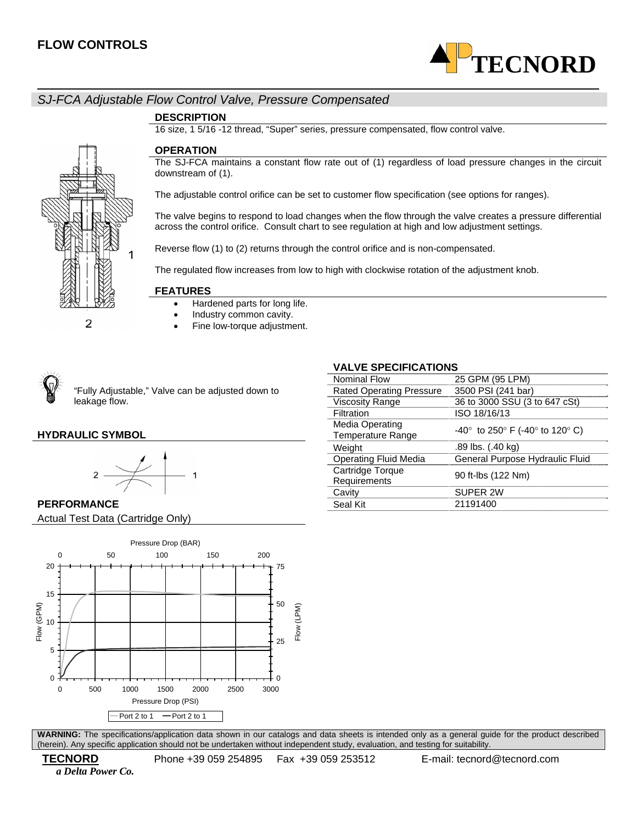

# *SJ-FCA Adjustable Flow Control Valve, Pressure Compensated*

#### **DESCRIPTION**

16 size, 1 5/16 -12 thread, "Super" series, pressure compensated, flow control valve.

#### **OPERATION**

The SJ-FCA maintains a constant flow rate out of (1) regardless of load pressure changes in the circuit downstream of (1).

The adjustable control orifice can be set to customer flow specification (see options for ranges).

The valve begins to respond to load changes when the flow through the valve creates a pressure differential across the control orifice. Consult chart to see regulation at high and low adjustment settings.

Reverse flow (1) to (2) returns through the control orifice and is non-compensated.

The regulated flow increases from low to high with clockwise rotation of the adjustment knob.

#### **FEATURES**

- Hardened parts for long life.
- Industry common cavity.
- Fine low-torque adjustment.



"Fully Adjustable," Valve can be adjusted down to leakage flow.

#### **HYDRAULIC SYMBOL**

2





**PERFORMANCE** Actual Test Data (Cartridge Only)



**WARNING:** The specifications/application data shown in our catalogs and data sheets is intended only as a general guide for the product described (herein). Any specific application should not be undertaken without independent study, evaluation, and testing for suitability.

 *a Delta Power Co.* 

# **VALVE SPECIFICATIONS**

| ALTL OF LUILIUATIURU            |                                          |
|---------------------------------|------------------------------------------|
| <b>Nominal Flow</b>             | 25 GPM (95 LPM)                          |
| <b>Rated Operating Pressure</b> | 3500 PSI (241 bar)                       |
| <b>Viscosity Range</b>          | 36 to 3000 SSU (3 to 647 cSt)            |
| Filtration                      | ISO 18/16/13                             |
| <b>Media Operating</b>          | $-40^{\circ}$ to 250° F (-40° to 120° C) |
| <b>Temperature Range</b>        |                                          |
| Weight                          | .89 lbs. (.40 kg)                        |
| <b>Operating Fluid Media</b>    | General Purpose Hydraulic Fluid          |
| Cartridge Torque                | 90 ft-lbs (122 Nm)                       |
| Requirements                    |                                          |
| Cavity                          | SUPFR 2W                                 |
| Seal Kit                        | 21191400                                 |
|                                 |                                          |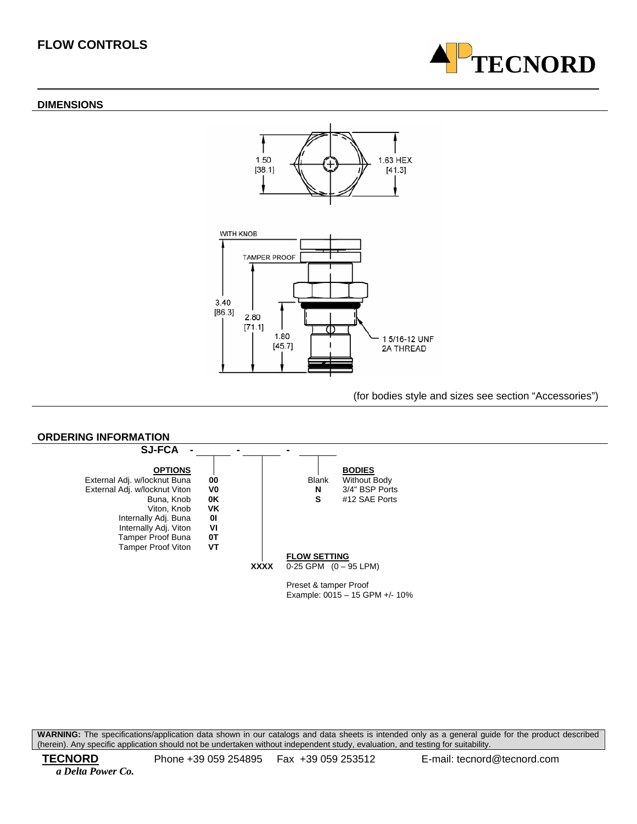#### **DIMENSIONS**





#### (for bodies style and sizes see section "Accessories")

**TECNORD**



**WARNING:** The specifications/application data shown in our catalogs and data sheets is intended only as a general guide for the product described (herein). Any specific application should not be undertaken without independent study, evaluation, and testing for suitability.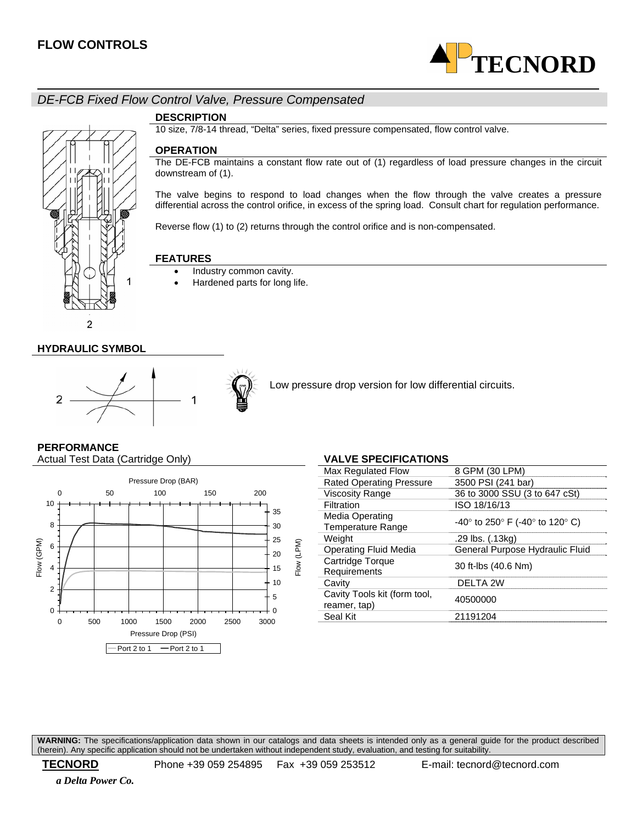

# *DE-FCB Fixed Flow Control Valve, Pressure Compensated*



#### **DESCRIPTION**

10 size, 7/8-14 thread, "Delta" series, fixed pressure compensated, flow control valve.

#### **OPERATION**

The DE-FCB maintains a constant flow rate out of (1) regardless of load pressure changes in the circuit downstream of (1).

The valve begins to respond to load changes when the flow through the valve creates a pressure differential across the control orifice, in excess of the spring load. Consult chart for regulation performance.

Reverse flow (1) to (2) returns through the control orifice and is non-compensated.

#### **FEATURES**

- Industry common cavity.
- Hardened parts for long life.

#### **HYDRAULIC SYMBOL**



Low pressure drop version for low differential circuits.

# **PERFORMANCE**

Actual Test Data (Cartridge Only) **VALVE SPECIFICATIONS** 



| Max Regulated Flow                           | 8 GPM (30 LPM)                  |
|----------------------------------------------|---------------------------------|
| <b>Rated Operating Pressure</b>              | 3500 PSI (241 bar)              |
| <b>Viscosity Range</b>                       | 36 to 3000 SSU (3 to 647 cSt)   |
| Filtration                                   | ISO 18/16/13                    |
| Media Operating<br><b>Temperature Range</b>  | -40° to 250° F (-40° to 120° C) |
| Weight                                       | .29 lbs. (.13kg)                |
| <b>Operating Fluid Media</b>                 | General Purpose Hydraulic Fluid |
| Cartridge Torque<br>Requirements             | 30 ft-lbs (40.6 Nm)             |
| Cavity                                       | DELTA 2W                        |
| Cavity Tools kit (form tool,<br>reamer, tap) | 40500000                        |
| Seal Kit                                     | 21191204                        |
|                                              |                                 |

**WARNING:** The specifications/application data shown in our catalogs and data sheets is intended only as a general guide for the product described (herein). Any specific application should not be undertaken without independent study, evaluation, and testing for suitability.

 **TECNORD** Phone +39 059 254895 Fax +39 059 253512 E-mail: tecnord@tecnord.com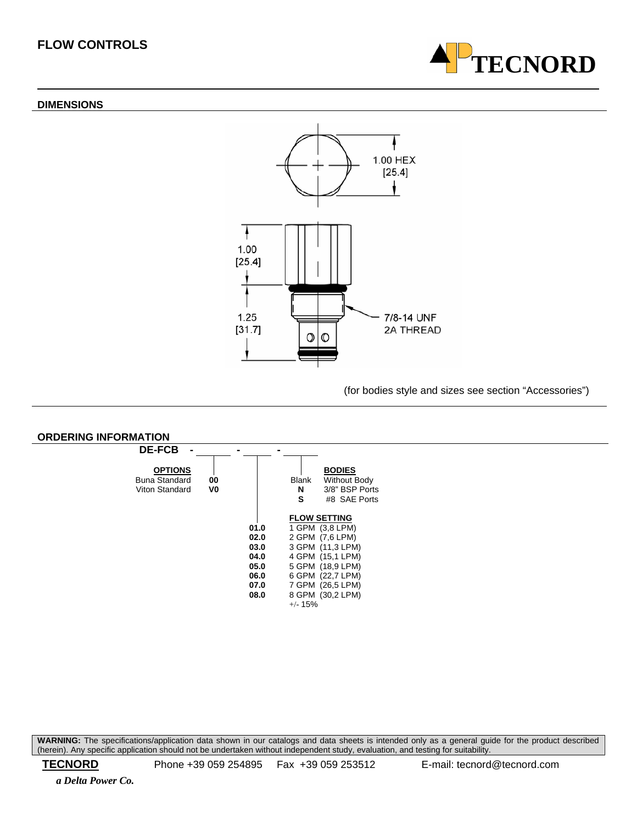#### **DIMENSIONS**





(for bodies style and sizes see section "Accessories")



**WARNING:** The specifications/application data shown in our catalogs and data sheets is intended only as a general guide for the product described (herein). Any specific application should not be undertaken without independent study, evaluation, and testing for suitability.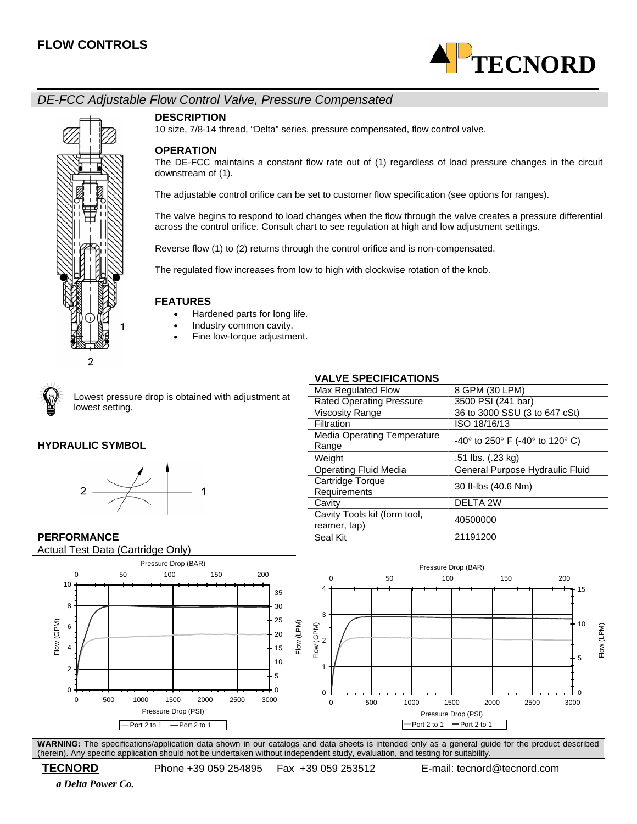

# *DE-FCC Adjustable Flow Control Valve, Pressure Compensated*



#### **DESCRIPTION**

10 size, 7/8-14 thread, "Delta" series, pressure compensated, flow control valve.

#### **OPERATION**

The DE-FCC maintains a constant flow rate out of (1) regardless of load pressure changes in the circuit downstream of (1).

The adjustable control orifice can be set to customer flow specification (see options for ranges).

The valve begins to respond to load changes when the flow through the valve creates a pressure differential across the control orifice. Consult chart to see regulation at high and low adjustment settings.

Reverse flow (1) to (2) returns through the control orifice and is non-compensated.

The regulated flow increases from low to high with clockwise rotation of the knob.

#### **FEATURES**

- Hardened parts for long life.
- Industry common cavity.
- Fine low-torque adjustment.



Lowest pressure drop is obtained with adjustment at lowest setting.

## **HYDRAULIC SYMBOL**



#### **PERFORMANCE**

Actual Test Data (Cartridge Only)



**WARNING:** The specifications/application data shown in our catalogs and data sheets is intended only as a general guide for the product described (herein). Any specific application should not be undertaken without independent study, evaluation, and testing for suitability.

 **TECNORD** Phone +39 059 254895 Fax +39 059 253512 E-mail: tecnord@tecnord.com

 *a Delta Power Co.* 

## **VALVE SPECIFICATIONS**

| Max Regulated Flow                           | 8 GPM (30 LPM)                           |
|----------------------------------------------|------------------------------------------|
| <b>Rated Operating Pressure</b>              | 3500 PSI (241 bar)                       |
| Viscosity Range                              | 36 to 3000 SSU (3 to 647 cSt)            |
| Filtration                                   | ISO 18/16/13                             |
| <b>Media Operating Temperature</b><br>Range  | $-40^{\circ}$ to 250° F (-40° to 120° C) |
| Weight                                       | .51 lbs. (.23 kg)                        |
| <b>Operating Fluid Media</b>                 | General Purpose Hydraulic Fluid          |
| Cartridge Torque<br>Requirements             | 30 ft-lbs (40.6 Nm)                      |
| Cavity                                       | DELTA 2W                                 |
| Cavity Tools kit (form tool,<br>reamer, tap) | 40500000                                 |
| Seal Kit                                     | 21191200                                 |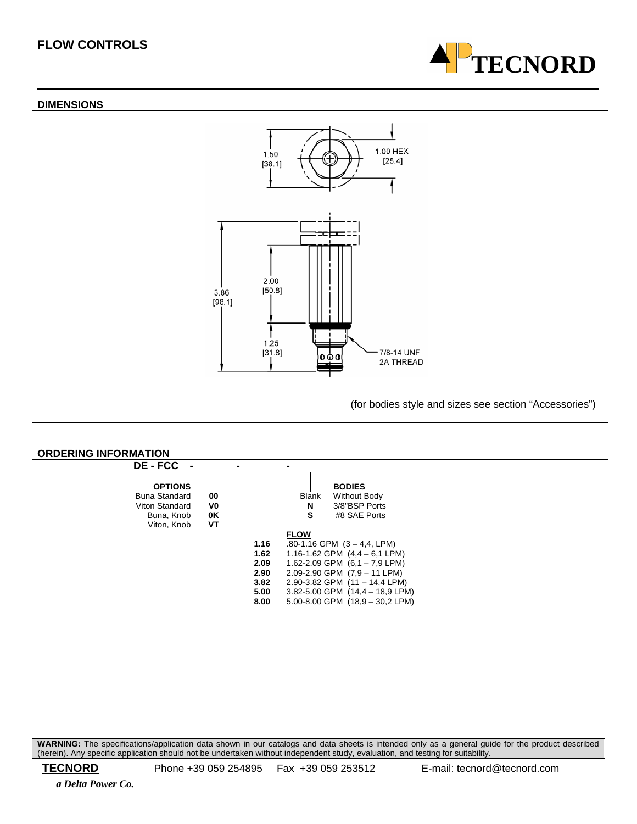#### **DIMENSIONS**





(for bodies style and sizes see section "Accessories")



**WARNING:** The specifications/application data shown in our catalogs and data sheets is intended only as a general guide for the product described (herein). Any specific application should not be undertaken without independent study, evaluation, and testing for suitability.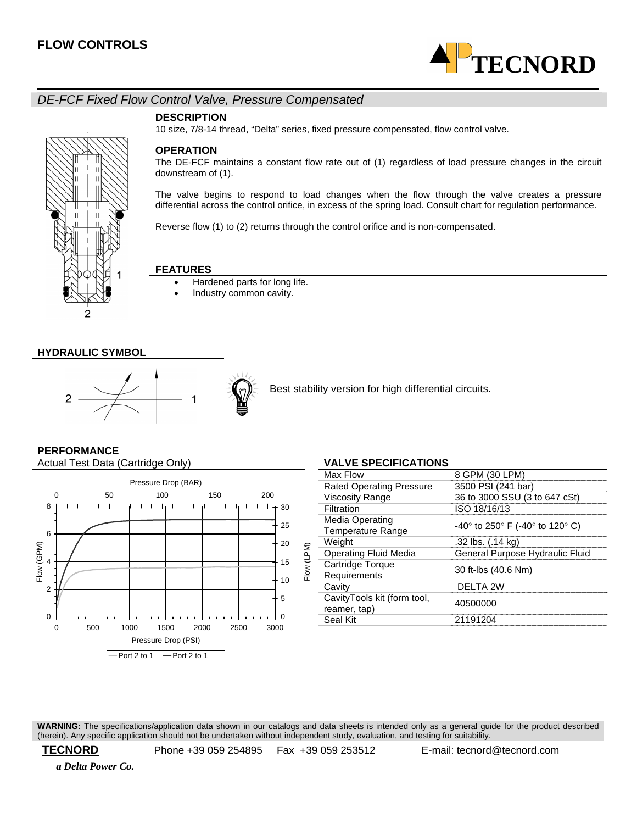

# *DE-FCF Fixed Flow Control Valve, Pressure Compensated*

#### **DESCRIPTION**

10 size, 7/8-14 thread, "Delta" series, fixed pressure compensated, flow control valve.

# 2

#### **OPERATION**

The DE-FCF maintains a constant flow rate out of (1) regardless of load pressure changes in the circuit downstream of (1).

The valve begins to respond to load changes when the flow through the valve creates a pressure differential across the control orifice, in excess of the spring load. Consult chart for regulation performance.

Reverse flow (1) to (2) returns through the control orifice and is non-compensated.

## **FEATURES**

- Hardened parts for long life.
- Industry common cavity.

#### **HYDRAULIC SYMBOL**



Best stability version for high differential circuits.

#### **PERFORMANCE**

Actual Test Data (Cartridge Only) **VALVE SPECIFICATIONS** 



| VALVE SPEUIFIUATIUNS                        |                                                                         |
|---------------------------------------------|-------------------------------------------------------------------------|
| Max Flow                                    | 8 GPM (30 LPM)                                                          |
| <b>Rated Operating Pressure</b>             | 3500 PSI (241 bar)                                                      |
| <b>Viscosity Range</b>                      | 36 to 3000 SSU (3 to 647 cSt)                                           |
| Filtration                                  | ISO 18/16/13                                                            |
| Media Operating<br><b>Temperature Range</b> | -40 $^{\circ}$ to 250 $^{\circ}$ F (-40 $^{\circ}$ to 120 $^{\circ}$ C) |
| Weight                                      | .32 lbs. (.14 kg)                                                       |
| <b>Operating Fluid Media</b>                | General Purpose Hydraulic Fluid                                         |
| Cartridge Torque<br>Requirements            | 30 ft-lbs (40.6 Nm)                                                     |
| Cavity                                      | DELTA 2W                                                                |
| CavityTools kit (form tool,<br>reamer, tap) | 40500000                                                                |
| Seal Kit                                    | 21191204                                                                |
|                                             |                                                                         |

**WARNING:** The specifications/application data shown in our catalogs and data sheets is intended only as a general guide for the product described (herein). Any specific application should not be undertaken without independent study, evaluation, and testing for suitability.

 **TECNORD** Phone +39 059 254895 Fax +39 059 253512 E-mail: tecnord@tecnord.com